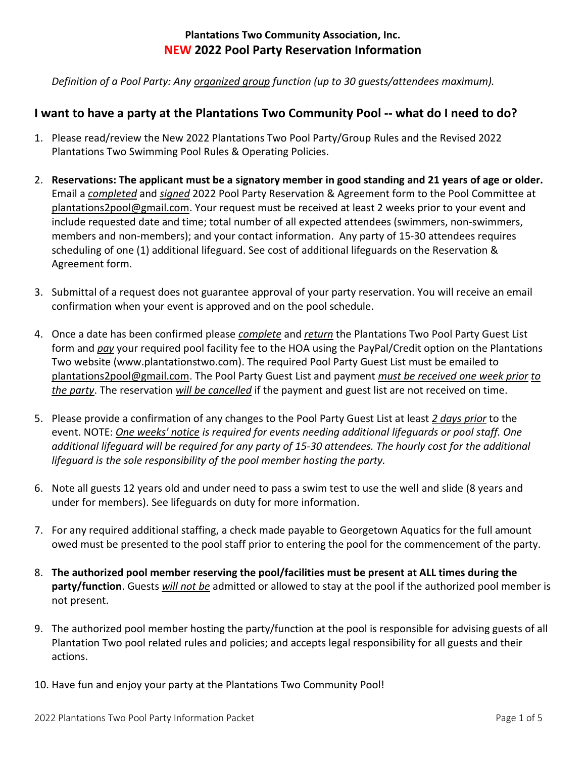## **Plantations Two Community Association, Inc. NEW 2022 Pool Party Reservation Information**

*Definition of a Pool Party: Any organized group function (up to 30 guests/attendees maximum).*

# **I want to have a party at the Plantations Two Community Pool -- what do I need to do?**

- 1. Please read/review the New 2022 Plantations Two Pool Party/Group Rules and the Revised 2022 Plantations Two Swimming Pool Rules & Operating Policies.
- 2. **Reservations: The applicant must be a signatory member in good standing and 21 years of age or older.** Email a *completed* and *signed* 2022 Pool Party Reservation & Agreement form to the Pool Committee at [plantations2pool@gmail.com.](mailto:plantations2pool@gmail.com) Your request must be received at least 2 weeks prior to your event and include requested date and time; total number of all expected attendees (swimmers, non-swimmers, members and non-members); and your contact information. Any party of 15-30 attendees requires scheduling of one (1) additional lifeguard. See cost of additional lifeguards on the Reservation & Agreement form.
- 3. Submittal of a request does not guarantee approval of your party reservation. You will receive an email confirmation when your event is approved and on the pool schedule.
- 4. Once a date has been confirmed please *complete* and *return* the Plantations Two Pool Party Guest List form and *pay* your required pool facility fee to the HOA using the PayPal/Credit option on the Plantations Two website (www.plantationstwo.com). The required Pool Party Guest List must be emailed to [plantations2pool@gmail.com.](mailto:plantations2pool@gmail.com) The Pool Party Guest List and payment *must be received one week prior to the party*. The reservation *will be cancelled* if the payment and guest list are not received on time.
- 5. Please provide a confirmation of any changes to the Pool Party Guest List at least *2 days prior* to the event. NOTE: *One weeks' notice is required for events needing additional lifeguards or pool staff. One additional lifeguard will be required for any party of 15-30 attendees. The hourly cost for the additional lifeguard is the sole responsibility of the pool member hosting the party.*
- 6. Note all guests 12 years old and under need to pass a swim test to use the well and slide (8 years and under for members). See lifeguards on duty for more information.
- 7. For any required additional staffing, a check made payable to Georgetown Aquatics for the full amount owed must be presented to the pool staff prior to entering the pool for the commencement of the party.
- 8. **The authorized pool member reserving the pool/facilities must be present at ALL times during the party/function**. Guests *will not be* admitted or allowed to stay at the pool if the authorized pool member is not present.
- 9. The authorized pool member hosting the party/function at the pool is responsible for advising guests of all Plantation Two pool related rules and policies; and accepts legal responsibility for all guests and their actions.
- 10. Have fun and enjoy your party at the Plantations Two Community Pool!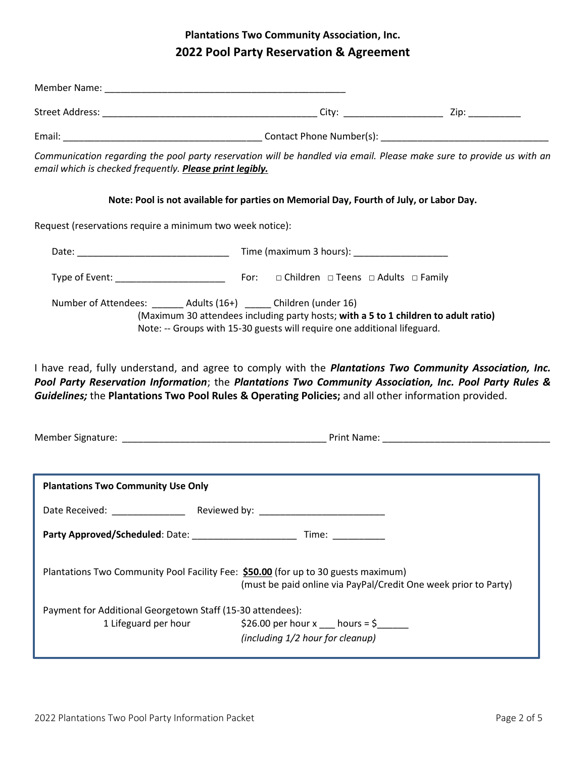# **Plantations Two Community Association, Inc. 2022 Pool Party Reservation & Agreement**

| Communication regarding the pool party reservation will be handled via email. Please make sure to provide us with an<br>email which is checked frequently. Please print legibly.                                                                                                                                                                                                                         |                                                                                                                                                                 |  |  |  |  |  |  |
|----------------------------------------------------------------------------------------------------------------------------------------------------------------------------------------------------------------------------------------------------------------------------------------------------------------------------------------------------------------------------------------------------------|-----------------------------------------------------------------------------------------------------------------------------------------------------------------|--|--|--|--|--|--|
|                                                                                                                                                                                                                                                                                                                                                                                                          | Note: Pool is not available for parties on Memorial Day, Fourth of July, or Labor Day.                                                                          |  |  |  |  |  |  |
| Request (reservations require a minimum two week notice):                                                                                                                                                                                                                                                                                                                                                |                                                                                                                                                                 |  |  |  |  |  |  |
|                                                                                                                                                                                                                                                                                                                                                                                                          |                                                                                                                                                                 |  |  |  |  |  |  |
|                                                                                                                                                                                                                                                                                                                                                                                                          |                                                                                                                                                                 |  |  |  |  |  |  |
| Number of Attendees: _______ Adults (16+) ______ Children (under 16)<br>I have read, fully understand, and agree to comply with the <i>Plantations Two Community Association, Inc.</i><br>Pool Party Reservation Information; the Plantations Two Community Association, Inc. Pool Party Rules &<br>Guidelines; the Plantations Two Pool Rules & Operating Policies; and all other information provided. | (Maximum 30 attendees including party hosts; with a 5 to 1 children to adult ratio)<br>Note: -- Groups with 15-30 guests will require one additional lifeguard. |  |  |  |  |  |  |
|                                                                                                                                                                                                                                                                                                                                                                                                          |                                                                                                                                                                 |  |  |  |  |  |  |
| <b>Plantations Two Community Use Only</b>                                                                                                                                                                                                                                                                                                                                                                |                                                                                                                                                                 |  |  |  |  |  |  |
| Date Received:                                                                                                                                                                                                                                                                                                                                                                                           | Reviewed by:                                                                                                                                                    |  |  |  |  |  |  |
|                                                                                                                                                                                                                                                                                                                                                                                                          |                                                                                                                                                                 |  |  |  |  |  |  |
| Plantations Two Community Pool Facility Fee: \$50.00 (for up to 30 guests maximum)                                                                                                                                                                                                                                                                                                                       | (must be paid online via PayPal/Credit One week prior to Party)                                                                                                 |  |  |  |  |  |  |
| Payment for Additional Georgetown Staff (15-30 attendees):<br>1 Lifeguard per hour                                                                                                                                                                                                                                                                                                                       |                                                                                                                                                                 |  |  |  |  |  |  |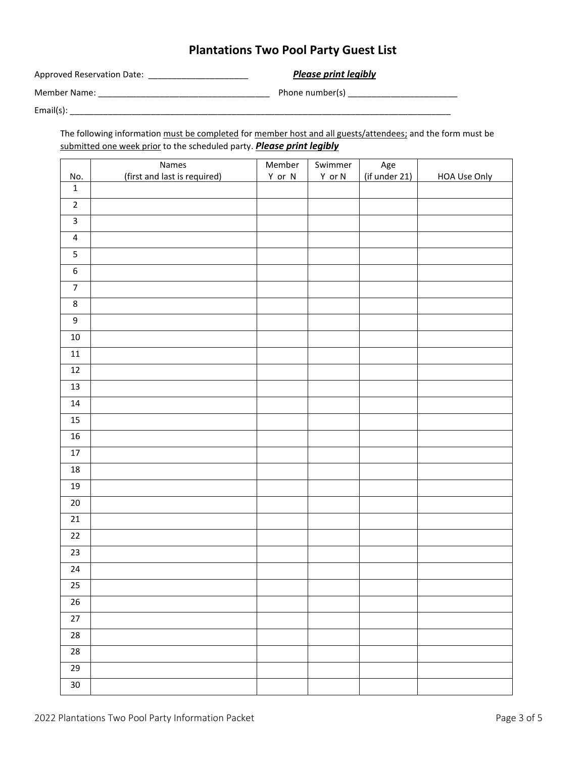# **Plantations Two Pool Party Guest List**

Approved Reservation Date: \_\_\_\_\_\_\_\_\_\_\_\_\_\_\_\_\_\_\_\_\_ *Please print legibly*

Member Name: \_\_\_\_\_\_\_\_\_\_\_\_\_\_\_\_\_\_\_\_\_\_\_\_\_\_\_\_\_\_\_\_\_\_\_\_ Phone number(s) \_\_\_\_\_\_\_\_\_\_\_\_\_\_\_\_\_\_\_\_\_\_\_

Email(s): \_\_\_\_\_\_\_\_\_\_\_\_\_\_\_\_\_\_\_\_\_\_\_\_\_\_\_\_\_\_\_\_\_\_\_\_\_\_\_\_\_\_\_\_\_\_\_\_\_\_\_\_\_\_\_\_\_\_\_\_\_\_\_\_\_\_\_\_\_\_\_\_\_\_\_\_\_\_\_\_

The following information must be completed for member host and all guests/attendees; and the form must be submitted one week prior to the scheduled party. *Please print legibly*

| No.                     | Names<br>(first and last is required) | Member<br>Y or N | Swimmer<br>Y or N | Age<br>(if under 21) | <b>HOA Use Only</b> |
|-------------------------|---------------------------------------|------------------|-------------------|----------------------|---------------------|
| $\mathbf 1$             |                                       |                  |                   |                      |                     |
| $\mathbf 2$             |                                       |                  |                   |                      |                     |
| $\mathbf{3}$            |                                       |                  |                   |                      |                     |
| $\overline{\mathbf{4}}$ |                                       |                  |                   |                      |                     |
| $\overline{\mathbf{5}}$ |                                       |                  |                   |                      |                     |
| $\boldsymbol{6}$        |                                       |                  |                   |                      |                     |
| $\overline{7}$          |                                       |                  |                   |                      |                     |
| $\bf 8$                 |                                       |                  |                   |                      |                     |
| $\boldsymbol{9}$        |                                       |                  |                   |                      |                     |
| 10                      |                                       |                  |                   |                      |                     |
| $11\,$                  |                                       |                  |                   |                      |                     |
| 12                      |                                       |                  |                   |                      |                     |
| 13                      |                                       |                  |                   |                      |                     |
| 14                      |                                       |                  |                   |                      |                     |
| 15                      |                                       |                  |                   |                      |                     |
| 16                      |                                       |                  |                   |                      |                     |
| $17\,$                  |                                       |                  |                   |                      |                     |
| $18\,$                  |                                       |                  |                   |                      |                     |
| 19                      |                                       |                  |                   |                      |                     |
| $20\,$                  |                                       |                  |                   |                      |                     |
| $21\,$                  |                                       |                  |                   |                      |                     |
| $22\,$                  |                                       |                  |                   |                      |                     |
| 23                      |                                       |                  |                   |                      |                     |
| 24                      |                                       |                  |                   |                      |                     |
| $\overline{25}$         |                                       |                  |                   |                      |                     |
| $26\,$                  |                                       |                  |                   |                      |                     |
| $27\,$                  |                                       |                  |                   |                      |                     |
| ${\bf 28}$              |                                       |                  |                   |                      |                     |
| ${\bf 28}$              |                                       |                  |                   |                      |                     |
| 29                      |                                       |                  |                   |                      |                     |
| $30\,$                  |                                       |                  |                   |                      |                     |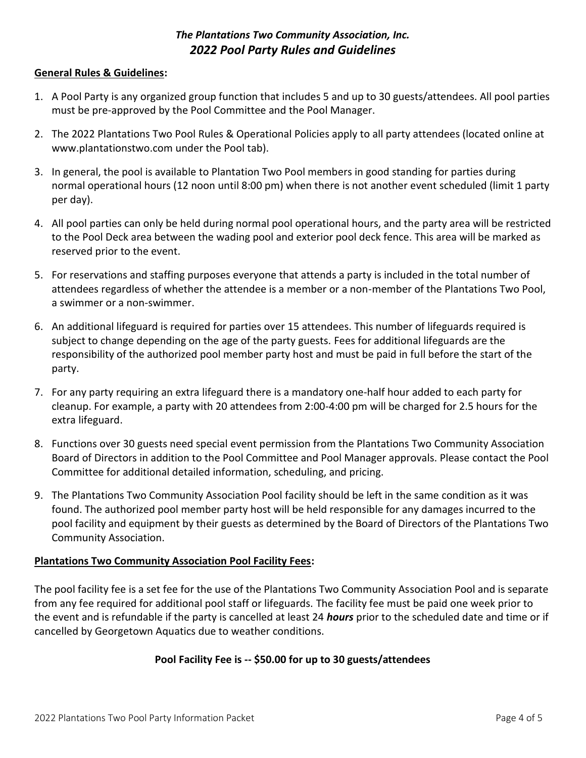## *The Plantations Two Community Association, Inc. 2022 Pool Party Rules and Guidelines*

#### **General Rules & Guidelines:**

- 1. A Pool Party is any organized group function that includes 5 and up to 30 guests/attendees. All pool parties must be pre-approved by the Pool Committee and the Pool Manager.
- 2. The 2022 Plantations Two Pool Rules & Operational Policies apply to all party attendees (located online at www.plantationstwo.com under the Pool tab).
- 3. In general, the pool is available to Plantation Two Pool members in good standing for parties during normal operational hours (12 noon until 8:00 pm) when there is not another event scheduled (limit 1 party per day).
- 4. All pool parties can only be held during normal pool operational hours, and the party area will be restricted to the Pool Deck area between the wading pool and exterior pool deck fence. This area will be marked as reserved prior to the event.
- 5. For reservations and staffing purposes everyone that attends a party is included in the total number of attendees regardless of whether the attendee is a member or a non-member of the Plantations Two Pool, a swimmer or a non-swimmer.
- 6. An additional lifeguard is required for parties over 15 attendees. This number of lifeguards required is subject to change depending on the age of the party guests. Fees for additional lifeguards are the responsibility of the authorized pool member party host and must be paid in full before the start of the party.
- 7. For any party requiring an extra lifeguard there is a mandatory one-half hour added to each party for cleanup. For example, a party with 20 attendees from 2:00-4:00 pm will be charged for 2.5 hours for the extra lifeguard.
- 8. Functions over 30 guests need special event permission from the Plantations Two Community Association Board of Directors in addition to the Pool Committee and Pool Manager approvals. Please contact the Pool Committee for additional detailed information, scheduling, and pricing.
- 9. The Plantations Two Community Association Pool facility should be left in the same condition as it was found. The authorized pool member party host will be held responsible for any damages incurred to the pool facility and equipment by their guests as determined by the Board of Directors of the Plantations Two Community Association.

#### **Plantations Two Community Association Pool Facility Fees:**

The pool facility fee is a set fee for the use of the Plantations Two Community Association Pool and is separate from any fee required for additional pool staff or lifeguards. The facility fee must be paid one week prior to the event and is refundable if the party is cancelled at least 24 *hours* prior to the scheduled date and time or if cancelled by Georgetown Aquatics due to weather conditions.

## **Pool Facility Fee is -- \$50.00 for up to 30 guests/attendees**